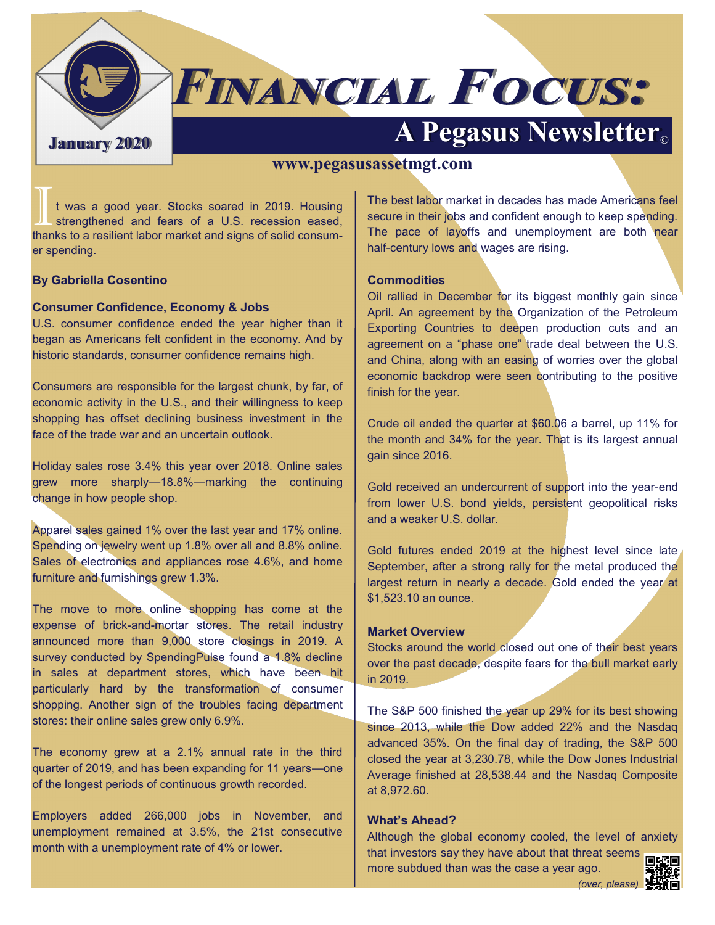

# **FINANCIAL FOCUS:**

## **A Pegasus Newsletter C**

#### **www.pegasusassetmgt.com**

It was a good year. Stocks soared in 2019. Housing<br>strengthened and fears of a U.S. recession eased,<br>thanks to a resilient labor market and signs of solid consumt was a good year. Stocks soared in 2019. Housing strengthened and fears of a U.S. recession eased, er spending.

#### **By Gabriella Cosentino**

#### **Consumer Confidence, Economy & Jobs**

U.S. consumer confidence ended the year higher than it began as Americans felt confident in the economy. And by historic standards, consumer confidence remains high.

Consumers are responsible for the largest chunk, by far, of economic activity in the U.S., and their willingness to keep shopping has offset declining business investment in the face of the trade war and an uncertain outlook.

Holiday sales rose 3.4% this year over 2018. Online sales grew more sharply—18.8%—marking the continuing change in how people shop.

Apparel sales gained 1% over the last year and 17% online. Spending on jewelry went up 1.8% over all and 8.8% online. Sales of electronics and appliances rose 4.6%, and home furniture and furnishings grew 1.3%.

The move to more online shopping has come at the expense of brick-and-mortar stores. The retail industry announced more than 9,000 store closings in 2019. A survey conducted by SpendingPulse found a 1.8% decline in sales at department stores, which have been hit particularly hard by the transformation of consumer shopping. Another sign of the troubles facing department stores: their online sales grew only 6.9%.

The economy grew at a 2.1% annual rate in the third quarter of 2019, and has been expanding for 11 years—one of the longest periods of continuous growth recorded.

Employers added 266,000 jobs in November, and unemployment remained at 3.5%, the 21st consecutive month with a unemployment rate of 4% or lower.

The best labor market in decades has made Americans feel secure in their jobs and confident enough to keep spending. The pace of layoffs and unemployment are both near half-century lows and wages are rising.

#### **Commodities**

Oil rallied in December for its biggest monthly gain since April. An agreement by the Organization of the Petroleum Exporting Countries to deepen production cuts and an agreement on a "phase one" trade deal between the U.S. and China, along with an easing of worries over the global economic backdrop were seen contributing to the positive finish for the year.

Crude oil ended the quarter at \$60.06 a barrel, up 11% for the month and 34% for the year. That is its largest annual gain since 2016.

Gold received an undercurrent of support into the year-end from lower U.S. bond yields, persistent geopolitical risks and a weaker U.S. dollar.

Gold futures ended 2019 at the highest level since late September, after a strong rally for the metal produced the largest return in nearly a decade. Gold ended the year at \$1,523.10 an ounce.

#### **Market Overview**

Stocks around the world closed out one of their best years over the past decade, despite fears for the bull market early in 2019.

The S&P 500 finished the year up 29% for its best showing since 2013, while the Dow added 22% and the Nasdaq advanced 35%. On the final day of trading, the S&P 500 closed the year at 3,230.78, while the Dow Jones Industrial Average finished at 28,538.44 and the Nasdaq Composite at 8,972.60.

#### **What's Ahead?**

Although the global economy cooled, the level of anxiety that investors say they have about that threat seems

more subdued than was the case a year ago.